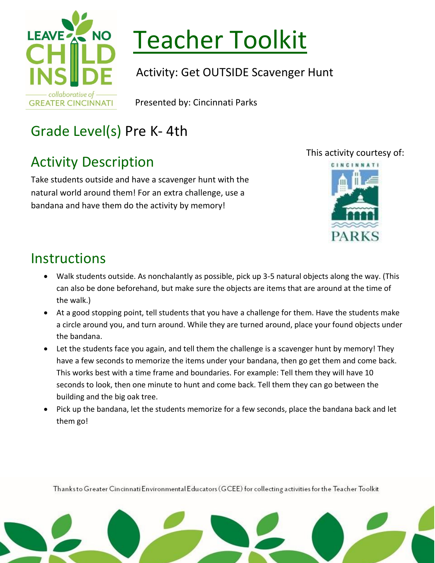

# Teacher Toolkit

Activity: Get OUTSIDE Scavenger Hunt

Presented by: Cincinnati Parks

## Grade Level(s) Pre K- 4th

## Activity Description

Take students outside and have a scavenger hunt with the natural world around them! For an extra challenge, use a bandana and have them do the activity by memory!



This activity courtesy of:



### **Instructions**

- Walk students outside. As nonchalantly as possible, pick up 3-5 natural objects along the way. (This can also be done beforehand, but make sure the objects are items that are around at the time of the walk.)
- At a good stopping point, tell students that you have a challenge for them. Have the students make a circle around you, and turn around. While they are turned around, place your found objects under the bandana.
- Let the students face you again, and tell them the challenge is a scavenger hunt by memory! They have a few seconds to memorize the items under your bandana, then go get them and come back. This works best with a time frame and boundaries. For example: Tell them they will have 10 seconds to look, then one minute to hunt and come back. Tell them they can go between the building and the big oak tree.
- Pick up the bandana, let the students memorize for a few seconds, place the bandana back and let them go!

Thanksto Greater Cincinnati Environmental Educators (GCEE) for collecting activities for the Teacher Toolkit